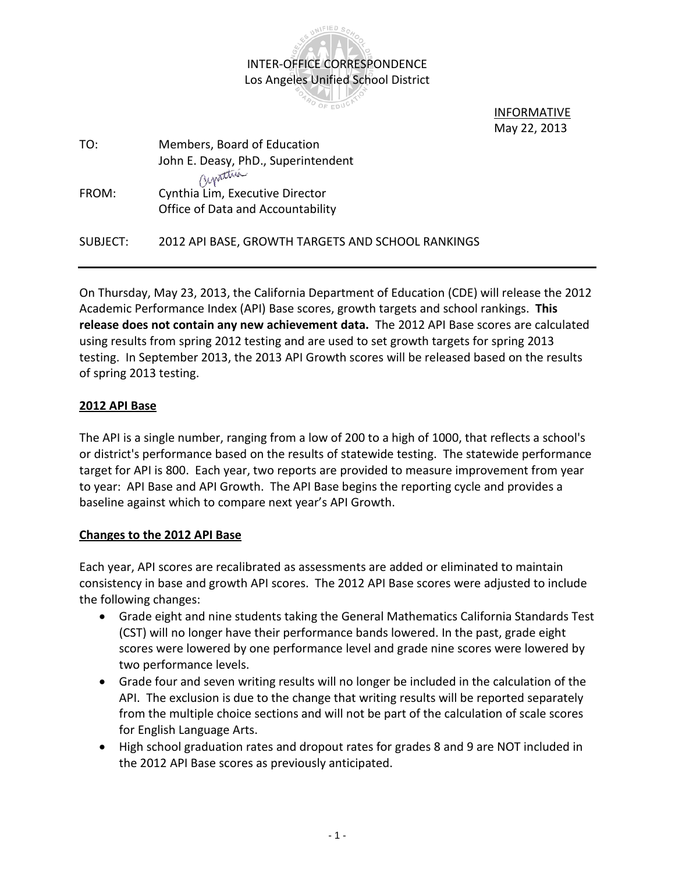

 INFORMATIVE May 22, 2013

| TO:      | Members, Board of Education                       |
|----------|---------------------------------------------------|
|          | John E. Deasy, PhD., Superintendent               |
|          | Cuptura                                           |
| FROM:    | Cynthia Lim, Executive Director                   |
|          | Office of Data and Accountability                 |
|          |                                                   |
| SUBJECT: | 2012 API BASE, GROWTH TARGETS AND SCHOOL RANKINGS |
|          |                                                   |

On Thursday, May 23, 2013, the California Department of Education (CDE) will release the 2012 Academic Performance Index (API) Base scores, growth targets and school rankings. **This release does not contain any new achievement data.** The 2012 API Base scores are calculated using results from spring 2012 testing and are used to set growth targets for spring 2013 testing. In September 2013, the 2013 API Growth scores will be released based on the results of spring 2013 testing.

## **2012 API Base**

The API is a single number, ranging from a low of 200 to a high of 1000, that reflects a school's or district's performance based on the results of statewide testing. The statewide performance target for API is 800. Each year, two reports are provided to measure improvement from year to year: API Base and API Growth. The API Base begins the reporting cycle and provides a baseline against which to compare next year's API Growth.

## **Changes to the 2012 API Base**

Each year, API scores are recalibrated as assessments are added or eliminated to maintain consistency in base and growth API scores. The 2012 API Base scores were adjusted to include the following changes:

- Grade eight and nine students taking the General Mathematics California Standards Test (CST) will no longer have their performance bands lowered. In the past, grade eight scores were lowered by one performance level and grade nine scores were lowered by two performance levels.
- Grade four and seven writing results will no longer be included in the calculation of the API. The exclusion is due to the change that writing results will be reported separately from the multiple choice sections and will not be part of the calculation of scale scores for English Language Arts.
- High school graduation rates and dropout rates for grades 8 and 9 are NOT included in the 2012 API Base scores as previously anticipated.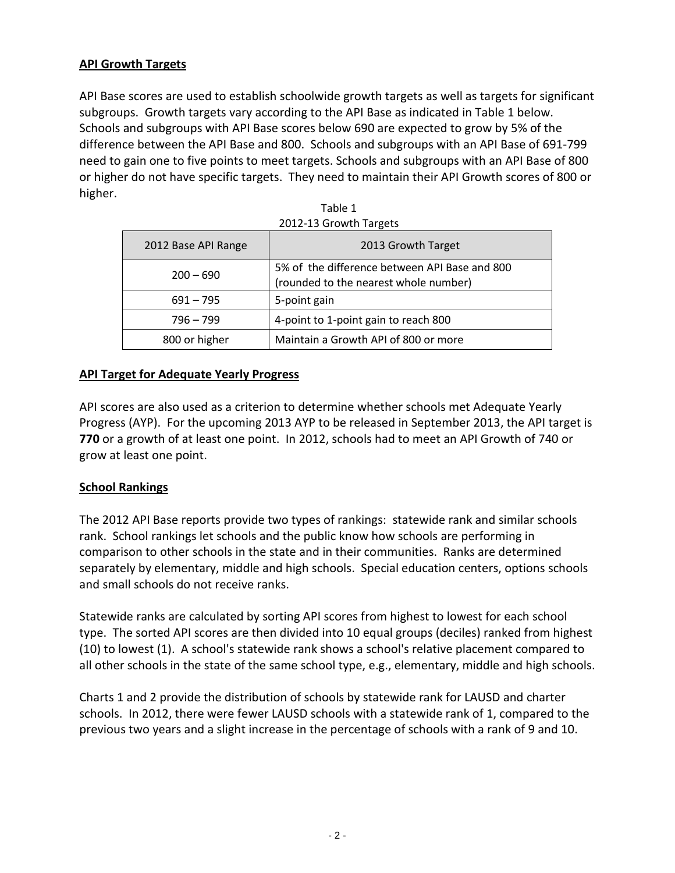# **API Growth Targets**

API Base scores are used to establish schoolwide growth targets as well as targets for significant subgroups. Growth targets vary according to the API Base as indicated in Table 1 below. Schools and subgroups with API Base scores below 690 are expected to grow by 5% of the difference between the API Base and 800. Schools and subgroups with an API Base of 691-799 need to gain one to five points to meet targets. Schools and subgroups with an API Base of 800 or higher do not have specific targets. They need to maintain their API Growth scores of 800 or higher.

|                     | 2012-13 Growth Targets                                                                 |
|---------------------|----------------------------------------------------------------------------------------|
| 2012 Base API Range | 2013 Growth Target                                                                     |
| $200 - 690$         | 5% of the difference between API Base and 800<br>(rounded to the nearest whole number) |
| $691 - 795$         | 5-point gain                                                                           |
| $796 - 799$         | 4-point to 1-point gain to reach 800                                                   |
| 800 or higher       | Maintain a Growth API of 800 or more                                                   |

Table 1 2012-13 Growth Targets

## **API Target for Adequate Yearly Progress**

API scores are also used as a criterion to determine whether schools met Adequate Yearly Progress (AYP). For the upcoming 2013 AYP to be released in September 2013, the API target is **770** or a growth of at least one point. In 2012, schools had to meet an API Growth of 740 or grow at least one point.

## **School Rankings**

The 2012 API Base reports provide two types of rankings: statewide rank and similar schools rank. School rankings let schools and the public know how schools are performing in comparison to other schools in the state and in their communities. Ranks are determined separately by elementary, middle and high schools. Special education centers, options schools and small schools do not receive ranks.

Statewide ranks are calculated by sorting API scores from highest to lowest for each school type. The sorted API scores are then divided into 10 equal groups (deciles) ranked from highest (10) to lowest (1). A school's statewide rank shows a school's relative placement compared to all other schools in the state of the same school type, e.g., elementary, middle and high schools.

Charts 1 and 2 provide the distribution of schools by statewide rank for LAUSD and charter schools. In 2012, there were fewer LAUSD schools with a statewide rank of 1, compared to the previous two years and a slight increase in the percentage of schools with a rank of 9 and 10.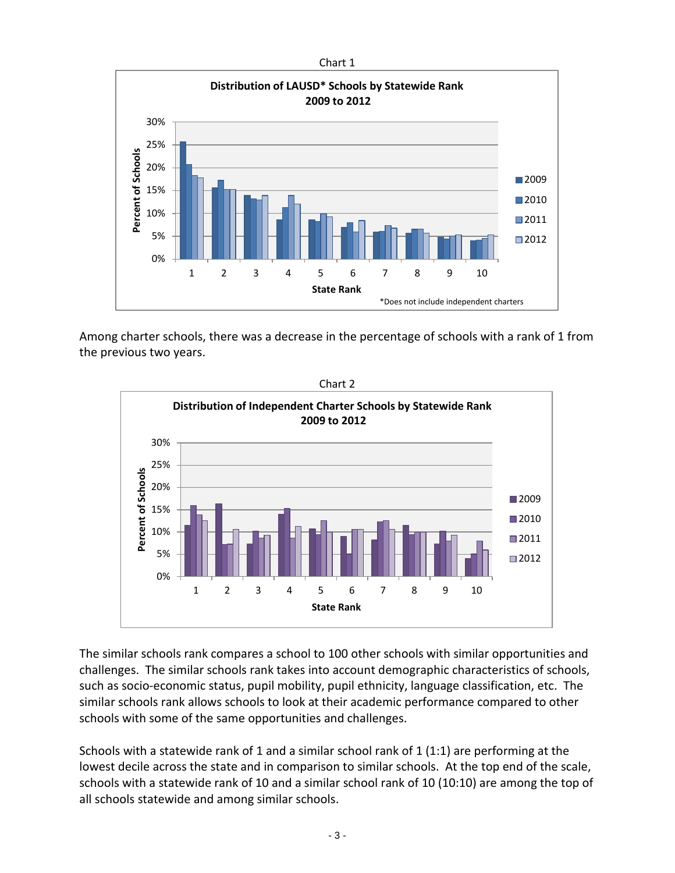

Among charter schools, there was a decrease in the percentage of schools with a rank of 1 from the previous two years.



The similar schools rank compares a school to 100 other schools with similar opportunities and challenges. The similar schools rank takes into account demographic characteristics of schools, such as socio-economic status, pupil mobility, pupil ethnicity, language classification, etc. The similar schools rank allows schools to look at their academic performance compared to other schools with some of the same opportunities and challenges.

Schools with a statewide rank of 1 and a similar school rank of 1 (1:1) are performing at the lowest decile across the state and in comparison to similar schools. At the top end of the scale, schools with a statewide rank of 10 and a similar school rank of 10 (10:10) are among the top of all schools statewide and among similar schools.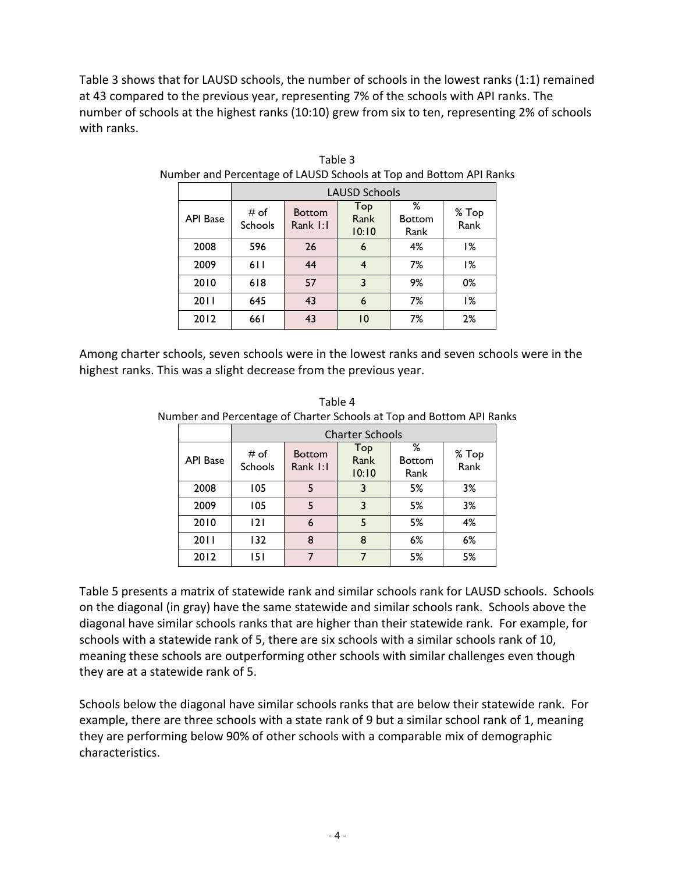Table 3 shows that for LAUSD schools, the number of schools in the lowest ranks (1:1) remained at 43 compared to the previous year, representing 7% of the schools with API ranks. The number of schools at the highest ranks (10:10) grew from six to ten, representing 2% of schools with ranks.

|                 | <b>LAUSD Schools</b>   |                                                                                 |    |    |               |  |  |  |
|-----------------|------------------------|---------------------------------------------------------------------------------|----|----|---------------|--|--|--|
| <b>API Base</b> | # of<br><b>Schools</b> | ℅<br>Top<br><b>Bottom</b><br>Rank<br><b>Bottom</b><br>Rank I:I<br>10:10<br>Rank |    |    | % Top<br>Rank |  |  |  |
| 2008            | 596                    | 26                                                                              | 6  | 4% | 1%            |  |  |  |
| 2009            | 611                    | 44                                                                              | 4  | 7% | 1%            |  |  |  |
| 2010            | 618                    | 57                                                                              | 3  | 9% | 0%            |  |  |  |
| 2011            | 645                    | 43                                                                              | 6  | 7% | 1%            |  |  |  |
| 2012            | 661                    | 43                                                                              | 10 | 7% | 2%            |  |  |  |

Table 3 Number and Percentage of LAUSD Schools at Top and Bottom API Ranks

Among charter schools, seven schools were in the lowest ranks and seven schools were in the highest ranks. This was a slight decrease from the previous year.

Table 4 Number and Percentage of Charter Schools at Top and Bottom API Ranks

|                 | <b>Charter Schools</b> |                                                   |   |                            |               |  |  |  |
|-----------------|------------------------|---------------------------------------------------|---|----------------------------|---------------|--|--|--|
| <b>API Base</b> | # of<br>Schools        | Top<br><b>Bottom</b><br>Rank<br>Rank I:I<br>10:10 |   | ℅<br><b>Bottom</b><br>Rank | % Top<br>Rank |  |  |  |
| 2008            | 105                    |                                                   | 3 |                            | 3%            |  |  |  |
| 2009            | 105                    | 5                                                 | 3 | 5%                         | 3%            |  |  |  |
| 2010            | 2                      | 6                                                 |   | 5%                         | 4%            |  |  |  |
| 2011            | 132                    | 8                                                 | 8 | 6%                         | 6%            |  |  |  |
| 2012            | 151                    |                                                   |   | 5%                         | 5%            |  |  |  |

Table 5 presents a matrix of statewide rank and similar schools rank for LAUSD schools. Schools on the diagonal (in gray) have the same statewide and similar schools rank. Schools above the diagonal have similar schools ranks that are higher than their statewide rank. For example, for schools with a statewide rank of 5, there are six schools with a similar schools rank of 10, meaning these schools are outperforming other schools with similar challenges even though they are at a statewide rank of 5.

Schools below the diagonal have similar schools ranks that are below their statewide rank. For example, there are three schools with a state rank of 9 but a similar school rank of 1, meaning they are performing below 90% of other schools with a comparable mix of demographic characteristics.